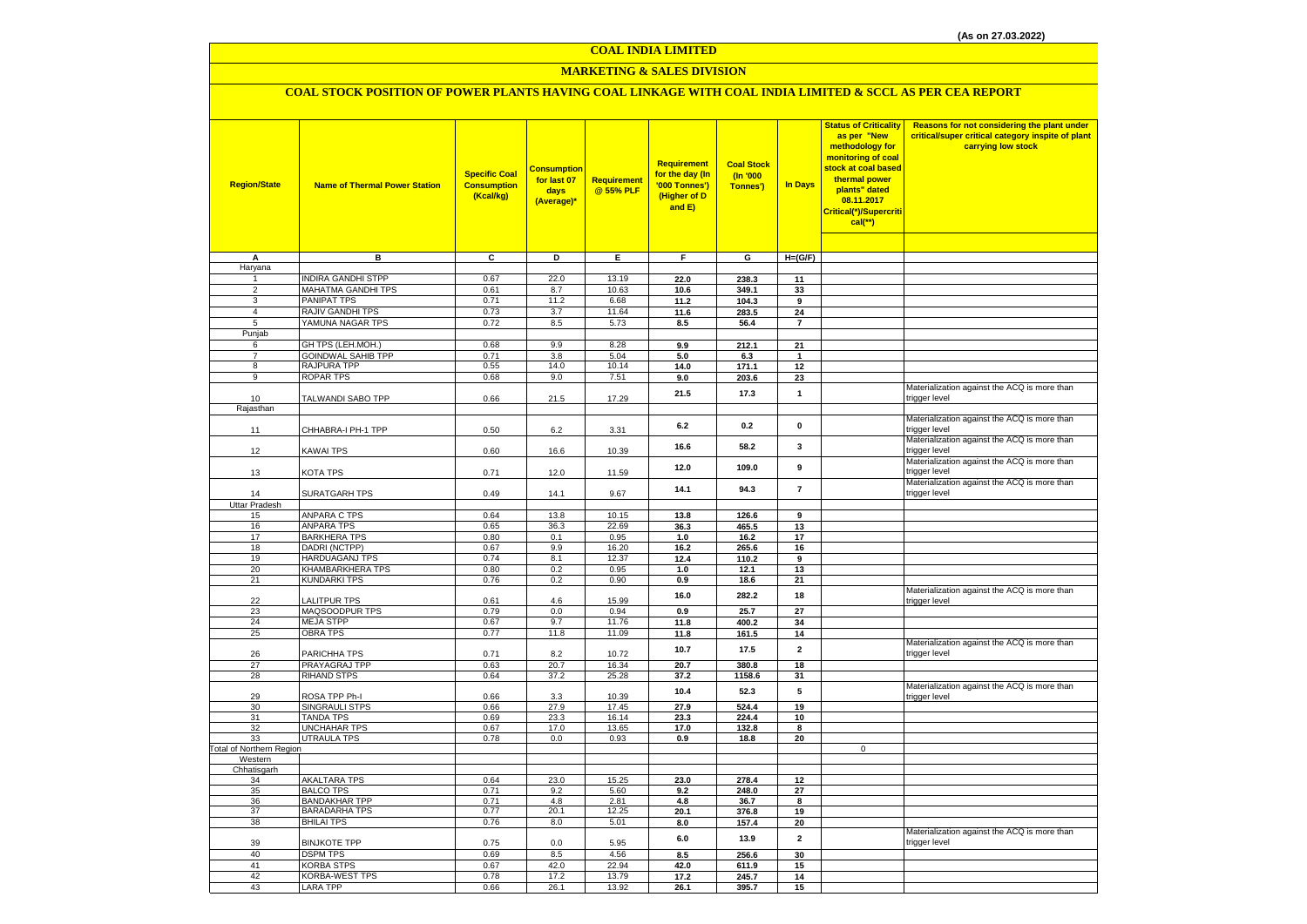#### **COAL INDIA LIMITED**

### **MARKETING & SALES DIVISION**

### **COAL STOCK POSITION OF POWER PLANTS HAVING COAL LINKAGE WITH COAL INDIA LIMITED & SCCL AS PER CEA REPORT**

| <b>Region/State</b>                        | <b>Name of Thermal Power Station</b>           | <b>Specific Coal</b><br><b>Consumption</b><br>(Kcal/kg) | <b>Consumption</b><br>for last 07<br>days<br>(Average)* | <b>Requirement</b><br>@ 55% PLF | Requirement<br>for the day (In<br>'000 Tonnes')<br>(Higher of D<br>and E) | <b>Coal Stock</b><br>(In '000<br>Tonnes') | In Days                    | <b>Status of Criticality</b><br>as per "New<br>methodology for<br>monitoring of coal<br>stock at coal based<br>thermal power<br>plants" dated<br>08.11.2017<br>Critical(*)/Supercriti<br>$cal$ (**) | Reasons for not considering the plant under<br>critical/super critical category inspite of plant<br>carrying low stock |
|--------------------------------------------|------------------------------------------------|---------------------------------------------------------|---------------------------------------------------------|---------------------------------|---------------------------------------------------------------------------|-------------------------------------------|----------------------------|-----------------------------------------------------------------------------------------------------------------------------------------------------------------------------------------------------|------------------------------------------------------------------------------------------------------------------------|
|                                            |                                                |                                                         |                                                         |                                 |                                                                           |                                           |                            |                                                                                                                                                                                                     |                                                                                                                        |
| Α<br>Haryana                               | в                                              | $\overline{c}$                                          | Þ                                                       | Ε                               | F                                                                         | G                                         | $H=(G/F)$                  |                                                                                                                                                                                                     |                                                                                                                        |
| 1                                          | <b>INDIRA GANDHI STPP</b>                      | 0.67                                                    | 22.0                                                    | 13.19                           | 22.0                                                                      | 238.3                                     | 11                         |                                                                                                                                                                                                     |                                                                                                                        |
| $\overline{2}$                             | MAHATMA GANDHI TPS                             | 0.61                                                    | 8.7                                                     | 10.63                           | 10.6                                                                      | 349.1                                     | 33                         |                                                                                                                                                                                                     |                                                                                                                        |
| 3                                          | <b>PANIPAT TPS</b>                             | 0.71                                                    | 11.2                                                    | 6.68                            | 11.2                                                                      | 104.3                                     | 9                          |                                                                                                                                                                                                     |                                                                                                                        |
| $\overline{4}$                             | RAJIV GANDHI TPS                               | 0.73                                                    | 3.7                                                     | 11.64                           | 11.6                                                                      | 283.5                                     | 24                         |                                                                                                                                                                                                     |                                                                                                                        |
| $\overline{5}$                             | YAMUNA NAGAR TPS                               | 0.72                                                    | 8.5                                                     | 5.73                            | 8.5                                                                       | 56.4                                      | $\overline{7}$             |                                                                                                                                                                                                     |                                                                                                                        |
| Punjab                                     |                                                |                                                         |                                                         |                                 |                                                                           |                                           |                            |                                                                                                                                                                                                     |                                                                                                                        |
| 6<br>$\overline{7}$                        | GH TPS (LEH.MOH.)<br><b>GOINDWAL SAHIB TPP</b> | 0.68<br>0.71                                            | 9.9<br>3.8                                              | 8.28<br>5.04                    | 9.9<br>5.0                                                                | 212.1<br>6.3                              | 21<br>$\blacktriangleleft$ |                                                                                                                                                                                                     |                                                                                                                        |
| $\overline{8}$                             | <b>RAJPURA TPP</b>                             | 0.55                                                    | 14.0                                                    | 10.14                           | 14.0                                                                      | 171.1                                     | 12                         |                                                                                                                                                                                                     |                                                                                                                        |
| 9                                          | ROPAR TPS                                      | 0.68                                                    | 9.0                                                     | 7.51                            | 9.0                                                                       | 203.6                                     | 23                         |                                                                                                                                                                                                     |                                                                                                                        |
|                                            |                                                |                                                         |                                                         |                                 |                                                                           |                                           |                            |                                                                                                                                                                                                     | Materialization against the ACQ is more than                                                                           |
| 10                                         | TALWANDI SABO TPP                              | 0.66                                                    | 21.5                                                    | 17.29                           | 21.5                                                                      | 17.3                                      | $\mathbf{1}$               |                                                                                                                                                                                                     | trigger level                                                                                                          |
| Rajasthan                                  |                                                |                                                         |                                                         |                                 |                                                                           |                                           |                            |                                                                                                                                                                                                     |                                                                                                                        |
|                                            | CHHABRA-I PH-1 TPP                             | 0.50                                                    |                                                         |                                 | 6.2                                                                       | 0.2                                       | $\mathbf 0$                |                                                                                                                                                                                                     | Materialization against the ACQ is more than<br>trigger level                                                          |
| 11                                         |                                                |                                                         | 6.2                                                     | 3.31                            |                                                                           |                                           |                            |                                                                                                                                                                                                     | Materialization against the ACQ is more than                                                                           |
| 12                                         | KAWAI TPS                                      | 0.60                                                    | 16.6                                                    | 10.39                           | 16.6                                                                      | 58.2                                      | 3                          |                                                                                                                                                                                                     | trigger level                                                                                                          |
|                                            |                                                |                                                         |                                                         |                                 |                                                                           |                                           |                            |                                                                                                                                                                                                     | Materialization against the ACQ is more than                                                                           |
| 13                                         | KOTA TPS                                       | 0.71                                                    | 12.0                                                    | 11.59                           | 12.0                                                                      | 109.0                                     | 9                          |                                                                                                                                                                                                     | trigger level                                                                                                          |
|                                            |                                                |                                                         |                                                         |                                 | 14.1                                                                      | 94.3                                      | $\overline{\mathbf{7}}$    |                                                                                                                                                                                                     | Materialization against the ACQ is more than                                                                           |
| 14                                         | SURATGARH TPS                                  | 0.49                                                    | 14.1                                                    | 9.67                            |                                                                           |                                           |                            |                                                                                                                                                                                                     | trigger level                                                                                                          |
| <b>Uttar Pradesh</b><br>15                 | <b>ANPARA C TPS</b>                            | 0.64                                                    | 13.8                                                    | 10.15                           | 13.8                                                                      | 126.6                                     | 9                          |                                                                                                                                                                                                     |                                                                                                                        |
| 16                                         | <b>ANPARA TPS</b>                              | 0.65                                                    | 36.3                                                    | 22.69                           | 36.3                                                                      | 465.5                                     | 13                         |                                                                                                                                                                                                     |                                                                                                                        |
| 17                                         | <b>BARKHERA TPS</b>                            | 0.80                                                    | 0.1                                                     | 0.95                            | 1.0                                                                       | 16.2                                      | 17                         |                                                                                                                                                                                                     |                                                                                                                        |
| 18                                         | DADRI (NCTPP)                                  | 0.67                                                    | 9.9                                                     | 16.20                           | 16.2                                                                      | 265.6                                     | 16                         |                                                                                                                                                                                                     |                                                                                                                        |
| 19                                         | <b>HARDUAGANJ TPS</b>                          | 0.74                                                    | 8.1                                                     | 12.37                           | 12.4                                                                      | 110.2                                     | 9                          |                                                                                                                                                                                                     |                                                                                                                        |
| 20                                         | KHAMBARKHERA TPS                               | 0.80                                                    | 0.2                                                     | 0.95                            | 1.0                                                                       | 12.1                                      | 13                         |                                                                                                                                                                                                     |                                                                                                                        |
| 21                                         | <b>KUNDARKI TPS</b>                            | 0.76                                                    | 0.2                                                     | 0.90                            | 0.9                                                                       | 18.6                                      | 21                         |                                                                                                                                                                                                     |                                                                                                                        |
| 22                                         | LALITPUR TPS                                   | 0.61                                                    | 4.6                                                     | 15.99                           | 16.0                                                                      | 282.2                                     | 18                         |                                                                                                                                                                                                     | Materialization against the ACQ is more than<br>trigger level                                                          |
| 23                                         | MAQSOODPUR TPS                                 | 0.79                                                    | 0.0                                                     | 0.94                            | 0.9                                                                       | 25.7                                      | 27                         |                                                                                                                                                                                                     |                                                                                                                        |
| 24                                         | <b>MEJA STPP</b>                               | 0.67                                                    | 9.7                                                     | 11.76                           | 11.8                                                                      | 400.2                                     | 34                         |                                                                                                                                                                                                     |                                                                                                                        |
| 25                                         | <b>OBRA TPS</b>                                | 0.77                                                    | 11.8                                                    | 11.09                           | 11.8                                                                      | 161.5                                     | 14                         |                                                                                                                                                                                                     |                                                                                                                        |
|                                            |                                                |                                                         |                                                         |                                 | 10.7                                                                      | 17.5                                      | $\overline{2}$             |                                                                                                                                                                                                     | Materialization against the ACQ is more than                                                                           |
| 26                                         | PARICHHA TPS                                   | 0.71                                                    | 8.2                                                     | 10.72                           |                                                                           |                                           |                            |                                                                                                                                                                                                     | trigger level                                                                                                          |
| 27                                         | PRAYAGRAJ TPP                                  | 0.63                                                    | 20.7                                                    | 16.34                           | 20.7                                                                      | 380.8                                     | 18                         |                                                                                                                                                                                                     |                                                                                                                        |
| 28                                         | <b>RIHAND STPS</b>                             | 0.64                                                    | 37.2                                                    | 25.28                           | 37.2                                                                      | 1158.6                                    | 31                         |                                                                                                                                                                                                     | Materialization against the ACQ is more than                                                                           |
| 29                                         | ROSA TPP Ph-I                                  | 0.66                                                    | 3.3                                                     | 10.39                           | 10.4                                                                      | 52.3                                      | 5                          |                                                                                                                                                                                                     | trigger level                                                                                                          |
| 30                                         | SINGRAULI STPS                                 | 0.66                                                    | 27.9                                                    | 17.45                           | 27.9                                                                      | 524.4                                     | 19                         |                                                                                                                                                                                                     |                                                                                                                        |
| 31                                         | <b>TANDA TPS</b>                               | 0.69                                                    | 23.3                                                    | 16.14                           | 23.3                                                                      | 224.4                                     | $10\,$                     |                                                                                                                                                                                                     |                                                                                                                        |
| 32                                         | <b>UNCHAHAR TPS</b>                            | 0.67                                                    | 17.0                                                    | 13.65                           | 17.0                                                                      | 132.8                                     | 8                          |                                                                                                                                                                                                     |                                                                                                                        |
| 33                                         | <b>UTRAULA TPS</b>                             | 0.78                                                    | 0.0                                                     | 0.93                            | 0.9                                                                       | 18.8                                      | 20                         | $\overline{0}$                                                                                                                                                                                      |                                                                                                                        |
| <b>Total of Northern Region</b><br>Western |                                                |                                                         |                                                         |                                 |                                                                           |                                           |                            |                                                                                                                                                                                                     |                                                                                                                        |
| Chhatisgarh                                |                                                |                                                         |                                                         |                                 |                                                                           |                                           |                            |                                                                                                                                                                                                     |                                                                                                                        |
| 34                                         | <b>AKALTARA TPS</b>                            | 0.64                                                    | 23.0                                                    | 15.25                           | 23.0                                                                      | 278.4                                     | 12                         |                                                                                                                                                                                                     |                                                                                                                        |
| 35                                         | <b>BALCO TPS</b>                               | 0.71                                                    | 9.2                                                     | 5.60                            | 9.2                                                                       | 248.0                                     | 27                         |                                                                                                                                                                                                     |                                                                                                                        |
| 36<br>37                                   | <b>BANDAKHAR TPP</b><br><b>BARADARHA TPS</b>   | 0.71                                                    | 4.8<br>20.1                                             | 2.81                            | 4.8                                                                       | 36.7                                      | 8                          |                                                                                                                                                                                                     |                                                                                                                        |
| 38                                         | <b>BHILAI TPS</b>                              | 0.77<br>0.76                                            | 8.0                                                     | 12.25<br>5.01                   | 20.1<br>8.0                                                               | 376.8<br>157.4                            | 19<br>20                   |                                                                                                                                                                                                     |                                                                                                                        |
|                                            |                                                |                                                         |                                                         |                                 |                                                                           |                                           |                            |                                                                                                                                                                                                     | Materialization against the ACQ is more than                                                                           |
| 39                                         | <b>BINJKOTE TPP</b>                            | 0.75                                                    | 0.0                                                     | 5.95                            | 6.0                                                                       | 13.9                                      | $\mathbf 2$                |                                                                                                                                                                                                     | trigger level                                                                                                          |
| 40                                         | <b>DSPM TPS</b>                                | 0.69                                                    | 8.5                                                     | 4.56                            | 8.5                                                                       | 256.6                                     | 30                         |                                                                                                                                                                                                     |                                                                                                                        |
| 41                                         | <b>KORBA STPS</b>                              | 0.67                                                    | 42.0                                                    | 22.94                           | 42.0                                                                      | 611.9                                     | 15                         |                                                                                                                                                                                                     |                                                                                                                        |
| 42                                         | KORBA-WEST TPS                                 | 0.78                                                    | 17.2                                                    | 13.79                           | 17.2                                                                      | 245.7                                     | 14                         |                                                                                                                                                                                                     |                                                                                                                        |
| 43                                         | <b>LARA TPP</b>                                | 0.66                                                    | 26.1                                                    | 13.92                           | 26.1                                                                      | 395.7                                     | 15                         |                                                                                                                                                                                                     |                                                                                                                        |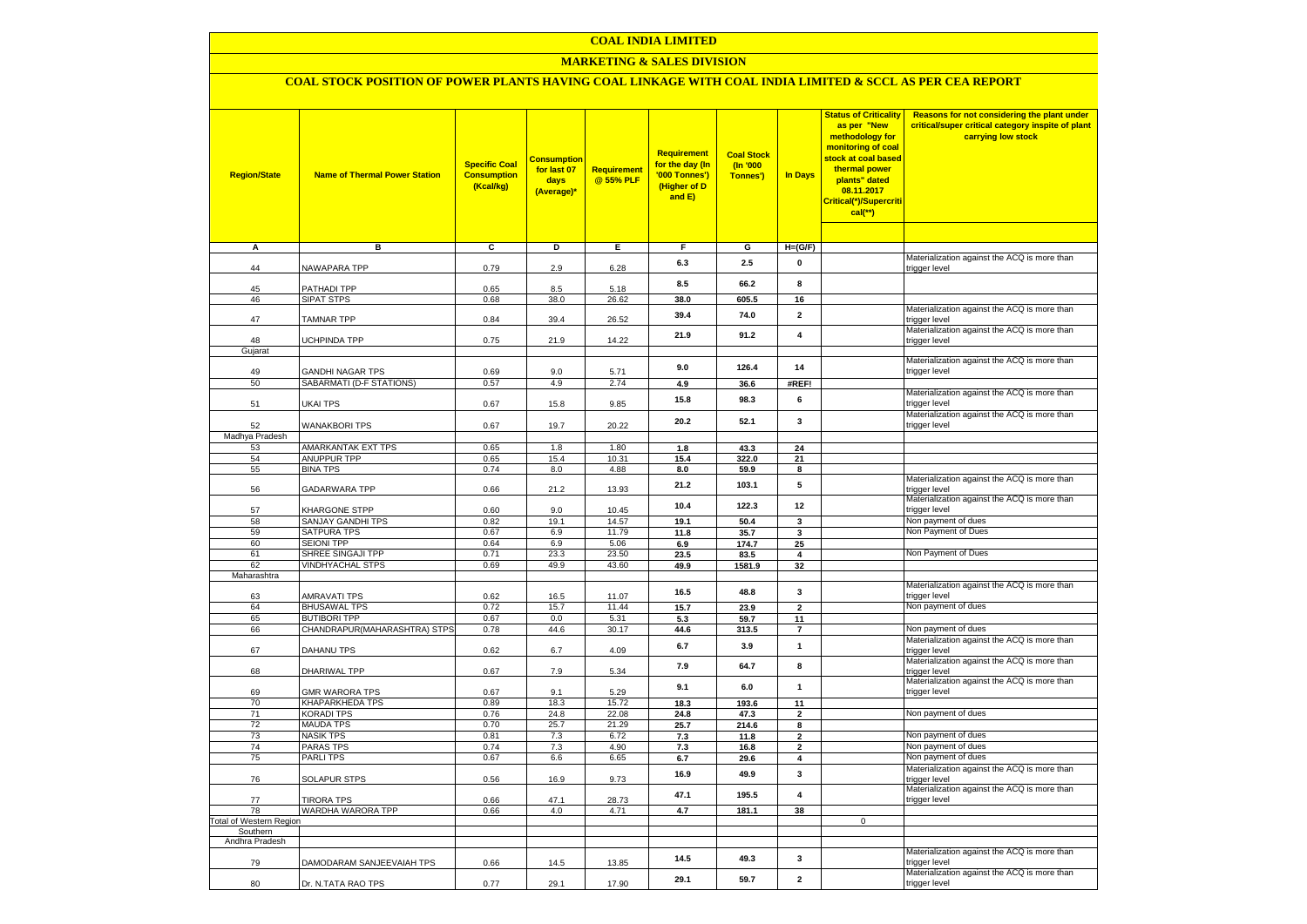#### **COAL INDIA LIMITED**

### **MARKETING & SALES DIVISION**

## **COAL STOCK POSITION OF POWER PLANTS HAVING COAL LINKAGE WITH COAL INDIA LIMITED & SCCL AS PER CEA REPORT**

| <b>Region/State</b>            | <b>Name of Thermal Power Station</b>         | <b>Specific Coal</b><br><b>Consumption</b><br>(Kcal/kg) | <b>Consumption</b><br>for last 07<br>days<br>(Average)* | <b>Requirement</b><br>@ 55% PLF | Requirement<br>for the day (In<br>'000 Tonnes')<br>(Higher of D<br>and E) | <b>Coal Stock</b><br>(In '000<br>Tonnes') | In Days                 | <b>Status of Criticality</b><br>as per "New<br>methodology for<br>monitoring of coal<br>stock at coal based<br>thermal power<br>plants" dated<br>08.11.2017<br>Critical(*)/Supercriti<br>$cal$ (**) | Reasons for not considering the plant under<br>critical/super critical category inspite of plant<br>carrying low stock |
|--------------------------------|----------------------------------------------|---------------------------------------------------------|---------------------------------------------------------|---------------------------------|---------------------------------------------------------------------------|-------------------------------------------|-------------------------|-----------------------------------------------------------------------------------------------------------------------------------------------------------------------------------------------------|------------------------------------------------------------------------------------------------------------------------|
|                                |                                              |                                                         |                                                         |                                 |                                                                           |                                           |                         |                                                                                                                                                                                                     |                                                                                                                        |
| А                              | в                                            | c                                                       | D                                                       | Ε                               | F                                                                         | G                                         | $H=(G/F)$               |                                                                                                                                                                                                     |                                                                                                                        |
| 44                             | NAWAPARA TPP                                 | 0.79                                                    | 2.9                                                     | 6.28                            | 6.3                                                                       | 2.5                                       | 0                       |                                                                                                                                                                                                     | Materialization against the ACQ is more than<br>trigger level                                                          |
| 45                             | PATHADI TPP                                  | 0.65                                                    | 8.5                                                     | 5.18                            | 8.5                                                                       | 66.2                                      | 8                       |                                                                                                                                                                                                     |                                                                                                                        |
| 46                             | <b>SIPAT STPS</b>                            | 0.68                                                    | 38.0                                                    | 26.62                           | 38.0                                                                      | 605.5                                     | 16                      |                                                                                                                                                                                                     |                                                                                                                        |
| 47                             | <b>TAMNAR TPP</b>                            | 0.84                                                    | 39.4                                                    | 26.52                           | 39.4                                                                      | 74.0                                      | $\overline{\mathbf{2}}$ |                                                                                                                                                                                                     | Materialization against the ACQ is more than<br>trigger level                                                          |
|                                |                                              |                                                         |                                                         |                                 | 21.9                                                                      | 91.2                                      | $\overline{\mathbf{4}}$ |                                                                                                                                                                                                     | Materialization against the ACQ is more than                                                                           |
| 48<br>Gujarat                  | UCHPINDA TPP                                 | 0.75                                                    | 21.9                                                    | 14.22                           |                                                                           |                                           |                         |                                                                                                                                                                                                     | trigger level                                                                                                          |
|                                |                                              |                                                         |                                                         |                                 |                                                                           |                                           |                         |                                                                                                                                                                                                     | Materialization against the ACQ is more than                                                                           |
| 49                             | <b>GANDHI NAGAR TPS</b>                      | 0.69                                                    | 9.0                                                     | 5.71                            | 9.0                                                                       | 126.4                                     | 14                      |                                                                                                                                                                                                     | trigger level                                                                                                          |
| 50                             | SABARMATI (D-F STATIONS)                     | 0.57                                                    | 4.9                                                     | 2.74                            | 4.9                                                                       | 36.6                                      | #REF!                   |                                                                                                                                                                                                     |                                                                                                                        |
| 51                             | UKAI TPS                                     | 0.67                                                    | 15.8                                                    | 9.85                            | 15.8                                                                      | 98.3                                      | 6                       |                                                                                                                                                                                                     | Materialization against the ACQ is more than<br>trigger level                                                          |
| 52                             | <b>WANAKBORI TPS</b>                         | 0.67                                                    | 19.7                                                    | 20.22                           | 20.2                                                                      | 52.1                                      | 3                       |                                                                                                                                                                                                     | Materialization against the ACQ is more than<br>trigger level                                                          |
| Madhya Pradesh                 |                                              |                                                         |                                                         |                                 |                                                                           |                                           |                         |                                                                                                                                                                                                     |                                                                                                                        |
| 53                             | AMARKANTAK EXT TPS                           | 0.65                                                    | 1.8                                                     | 1.80                            | 1.8                                                                       | 43.3                                      | 24                      |                                                                                                                                                                                                     |                                                                                                                        |
| 54<br>55                       | ANUPPUR TPP<br><b>BINA TPS</b>               | 0.65<br>0.74                                            | 15.4<br>8.0                                             | 10.31<br>4.88                   | 15.4<br>8.0                                                               | 322.0<br>59.9                             | 21<br>8                 |                                                                                                                                                                                                     |                                                                                                                        |
|                                |                                              |                                                         |                                                         |                                 |                                                                           |                                           |                         |                                                                                                                                                                                                     | Materialization against the ACQ is more than                                                                           |
| 56                             | GADARWARA TPP                                | 0.66                                                    | 21.2                                                    | 13.93                           | 21.2                                                                      | 103.1                                     | 5                       |                                                                                                                                                                                                     | trigger level                                                                                                          |
| 57                             | KHARGONE STPP                                | 0.60                                                    | 9.0                                                     | 10.45                           | 10.4                                                                      | 122.3                                     | 12                      |                                                                                                                                                                                                     | Materialization against the ACQ is more than<br>trigger level                                                          |
| 58                             | SANJAY GANDHI TPS                            | 0.82                                                    | 19.1                                                    | 14.57                           | 19.1                                                                      | 50.4                                      | 3                       |                                                                                                                                                                                                     | Non payment of dues                                                                                                    |
| 59                             | SATPURA TPS                                  | 0.67                                                    | 6.9                                                     | 11.79                           | 11.8                                                                      | 35.7                                      | 3                       |                                                                                                                                                                                                     | Non Payment of Dues                                                                                                    |
| 60                             | <b>SEIONI TPP</b>                            | 0.64                                                    | 6.9                                                     | 5.06                            | 6.9                                                                       | 174.7                                     | 25                      |                                                                                                                                                                                                     |                                                                                                                        |
| 61                             | SHREE SINGAJI TPP<br><b>VINDHYACHAL STPS</b> | 0.71                                                    | 23.3                                                    | 23.50                           | 23.5                                                                      | 83.5                                      | 4                       |                                                                                                                                                                                                     | Non Payment of Dues                                                                                                    |
| 62<br>Maharashtra              |                                              | 0.69                                                    | 49.9                                                    | 43.60                           | 49.9                                                                      | 1581.9                                    | 32                      |                                                                                                                                                                                                     |                                                                                                                        |
| 63                             | AMRAVATI TPS                                 | 0.62                                                    | 16.5                                                    | 11.07                           | 16.5                                                                      | 48.8                                      | 3                       |                                                                                                                                                                                                     | Materialization against the ACQ is more than<br>trigger level                                                          |
| 64                             | <b>BHUSAWAL TPS</b>                          | 0.72                                                    | 15.7                                                    | 11.44                           | 15.7                                                                      | 23.9                                      | $\mathbf{2}$            |                                                                                                                                                                                                     | Non payment of dues                                                                                                    |
| 65                             | <b>BUTIBORI TPP</b>                          | 0.67                                                    | 0.0                                                     | 5.31                            | 5.3                                                                       | 59.7                                      | 11                      |                                                                                                                                                                                                     |                                                                                                                        |
| 66                             | CHANDRAPUR(MAHARASHTRA) STPS                 | 0.78                                                    | 44.6                                                    | 30.17                           | 44.6                                                                      | 313.5                                     | $\overline{7}$          |                                                                                                                                                                                                     | Non payment of dues                                                                                                    |
| 67                             | DAHANU TPS                                   | 0.62                                                    | 6.7                                                     | 4.09                            | 6.7                                                                       | 3.9                                       | $\mathbf{1}$            |                                                                                                                                                                                                     | Materialization against the ACQ is more than<br>trigger level                                                          |
| 68                             | DHARIWAL TPP                                 | 0.67                                                    | 7.9                                                     | 5.34                            | 7.9                                                                       | 64.7                                      | 8                       |                                                                                                                                                                                                     | Materialization against the ACQ is more than<br>trigger level                                                          |
| 69                             | <b>GMR WARORA TPS</b>                        | 0.67                                                    | 9.1                                                     | 5.29                            | 9.1                                                                       | 6.0                                       | $\mathbf{1}$            |                                                                                                                                                                                                     | Materialization against the ACQ is more than<br>trigger level                                                          |
| 70                             | <b>KHAPARKHEDA TPS</b>                       | 0.89                                                    | 18.3                                                    | 15.72                           | 18.3                                                                      | 193.6                                     | 11                      |                                                                                                                                                                                                     |                                                                                                                        |
| 71                             | <b>KORADI TPS</b>                            | 0.76                                                    | 24.8                                                    | 22.08                           | 24.8                                                                      | 47.3                                      | $\overline{2}$          |                                                                                                                                                                                                     | Non payment of dues                                                                                                    |
| 72                             | <b>MAUDA TPS</b>                             | 0.70                                                    | 25.7                                                    | 21.29                           | 25.7                                                                      | 214.6                                     | 8                       |                                                                                                                                                                                                     |                                                                                                                        |
| 73                             | <b>NASIK TPS</b>                             | 0.81                                                    | 7.3                                                     | 6.72                            | $\bf 7.3$                                                                 | 11.8                                      | $\overline{2}$          |                                                                                                                                                                                                     | Non payment of dues                                                                                                    |
| 74                             | <b>PARAS TPS</b>                             | 0.74                                                    | 7.3                                                     | 4.90                            | 7.3                                                                       | 16.8                                      | $\mathbf{2}$            |                                                                                                                                                                                                     | Non payment of dues                                                                                                    |
| 75                             | <b>PARLITPS</b>                              | 0.67                                                    | 6.6                                                     | 6.65                            | 6.7                                                                       | 29.6                                      | 4                       |                                                                                                                                                                                                     | Non payment of dues<br>Materialization against the ACQ is more than                                                    |
| 76                             | <b>SOLAPUR STPS</b>                          | 0.56                                                    | 16.9                                                    | 9.73                            | 16.9                                                                      | 49.9                                      | 3                       |                                                                                                                                                                                                     | trigger level<br>Materialization against the ACQ is more than                                                          |
| 77                             | <b>TIRORA TPS</b>                            | 0.66                                                    | 47.1                                                    | 28.73                           | 47.1                                                                      | 195.5                                     | 4                       |                                                                                                                                                                                                     | trigger level                                                                                                          |
| 78                             | WARDHA WARORA TPP                            | 0.66                                                    | 4.0                                                     | 4.71                            | 4.7                                                                       | 181.1                                     | 38                      |                                                                                                                                                                                                     |                                                                                                                        |
| <b>Total of Western Region</b> |                                              |                                                         |                                                         |                                 |                                                                           |                                           |                         | $\mathbf 0$                                                                                                                                                                                         |                                                                                                                        |
| Southern                       |                                              |                                                         |                                                         |                                 |                                                                           |                                           |                         |                                                                                                                                                                                                     |                                                                                                                        |
| Andhra Pradesh                 |                                              |                                                         |                                                         |                                 |                                                                           |                                           |                         |                                                                                                                                                                                                     | Materialization against the ACQ is more than                                                                           |
| 79                             | DAMODARAM SANJEEVAIAH TPS                    | 0.66                                                    | 14.5                                                    | 13.85                           | 14.5                                                                      | 49.3                                      | 3                       |                                                                                                                                                                                                     | trigger level<br>Materialization against the ACQ is more than                                                          |
| 80                             | Dr. N.TATA RAO TPS                           | 0.77                                                    | 29.1                                                    | 17.90                           | 29.1                                                                      | 59.7                                      | $\mathbf{2}$            |                                                                                                                                                                                                     | trigger level                                                                                                          |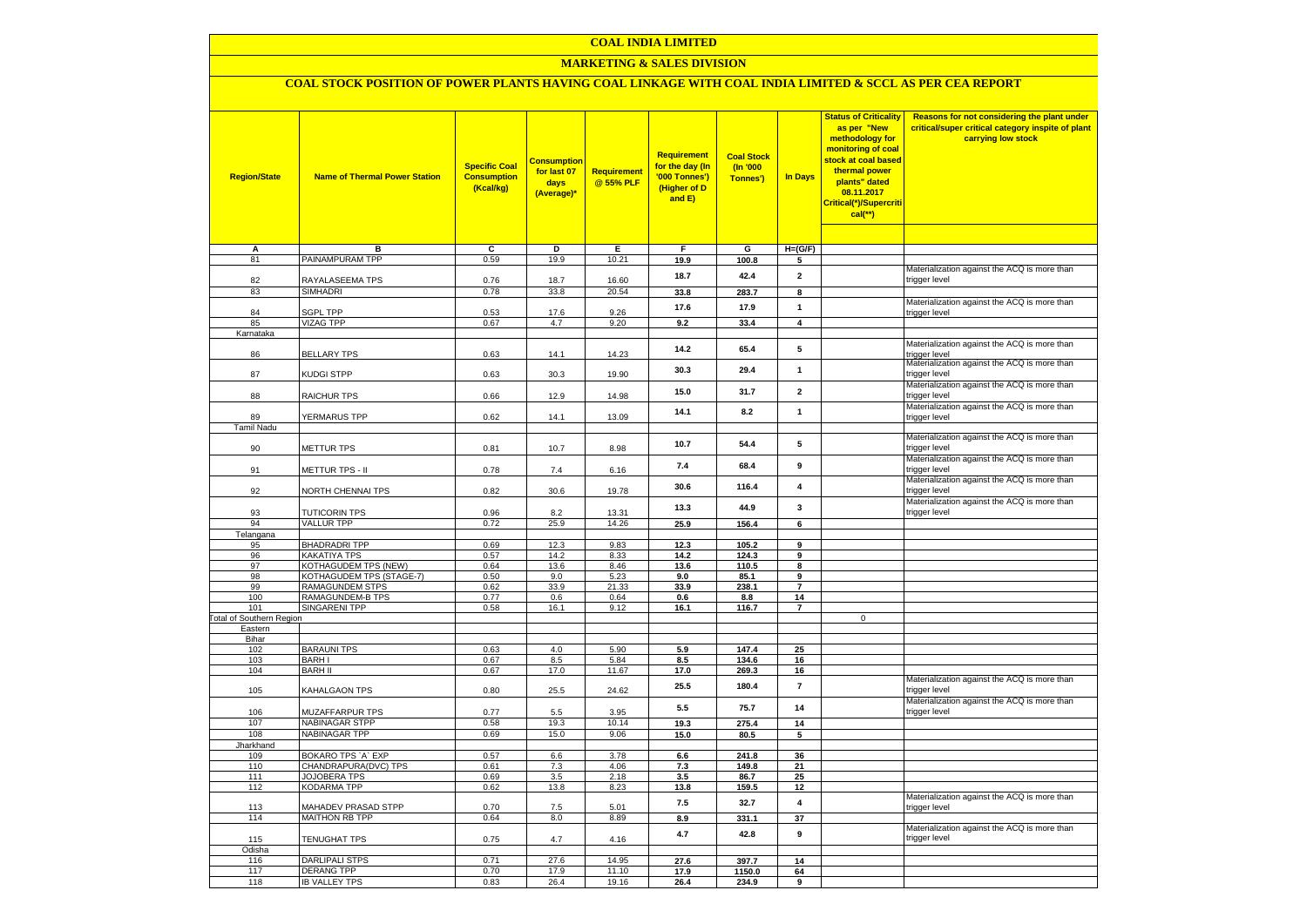### **COAL INDIA LIMITED**

### **MARKETING & SALES DIVISION**

# **COAL STOCK POSITION OF POWER PLANTS HAVING COAL LINKAGE WITH COAL INDIA LIMITED & SCCL AS PER CEA REPORT**

| <b>Region/State</b>                        | <b>Name of Thermal Power Station</b>       | <b>Specific Coal</b><br><b>Consumption</b><br>(Kcal/kg) | <mark>Consumption</mark><br>for last 07<br>days<br>(Average)* | <b>Requirement</b><br>@ 55% PLF | <b>Requirement</b><br>for the day (In<br>'000 Tonnes')<br>(Higher of D<br>and E) | <b>Coal Stock</b><br>(In '000<br>Tonnes') | <b>In Days</b>          | <b>Status of Criticality</b><br>as per "New<br>methodology for<br>monitoring of coal<br>stock at coal based<br>thermal power<br>plants" dated<br>08.11.2017<br>Critical(*)/Supercriti<br>$cal$ (**) | Reasons for not considering the plant under<br>critical/super critical category inspite of plant<br>carrying low stock |
|--------------------------------------------|--------------------------------------------|---------------------------------------------------------|---------------------------------------------------------------|---------------------------------|----------------------------------------------------------------------------------|-------------------------------------------|-------------------------|-----------------------------------------------------------------------------------------------------------------------------------------------------------------------------------------------------|------------------------------------------------------------------------------------------------------------------------|
|                                            |                                            |                                                         |                                                               |                                 |                                                                                  |                                           |                         |                                                                                                                                                                                                     |                                                                                                                        |
| А<br>81                                    | в<br>PAINAMPURAM TPP                       | c<br>0.59                                               | D<br>19.9                                                     | Е<br>10.21                      | F<br>19.9                                                                        | G<br>100.8                                | $H=(G/F)$<br>5          |                                                                                                                                                                                                     |                                                                                                                        |
|                                            |                                            |                                                         |                                                               |                                 |                                                                                  |                                           |                         |                                                                                                                                                                                                     | Materialization against the ACQ is more than                                                                           |
| 82                                         | RAYALASEEMA TPS                            | 0.76                                                    | 18.7                                                          | 16.60                           | 18.7                                                                             | 42.4                                      | $\mathbf{2}$            |                                                                                                                                                                                                     | trigger level                                                                                                          |
| 83                                         | <b>SIMHADRI</b>                            | 0.78                                                    | 33.8                                                          | 20.54                           | 33.8                                                                             | 283.7                                     | 8                       |                                                                                                                                                                                                     |                                                                                                                        |
| 84                                         | <b>SGPL TPP</b>                            | 0.53                                                    | 17.6                                                          | 9.26                            | 17.6                                                                             | 17.9                                      | $\mathbf{1}$            |                                                                                                                                                                                                     | Materialization against the ACQ is more than<br>trigger level                                                          |
| 85                                         | <b>VIZAG TPP</b>                           | 0.67                                                    | 4.7                                                           | 9.20                            | 9.2                                                                              | 33.4                                      | $\overline{4}$          |                                                                                                                                                                                                     |                                                                                                                        |
| Karnataka                                  |                                            |                                                         |                                                               |                                 |                                                                                  |                                           |                         |                                                                                                                                                                                                     |                                                                                                                        |
|                                            |                                            |                                                         |                                                               |                                 | 14.2                                                                             | 65.4                                      | 5                       |                                                                                                                                                                                                     | Materialization against the ACQ is more than                                                                           |
| 86                                         | <b>BELLARY TPS</b>                         | 0.63                                                    | 14.1                                                          | 14.23                           |                                                                                  |                                           |                         |                                                                                                                                                                                                     | trigger level<br>Materialization against the ACQ is more than                                                          |
| 87                                         | <b>KUDGI STPP</b>                          | 0.63                                                    | 30.3                                                          | 19.90                           | 30.3                                                                             | 29.4                                      | $\mathbf{1}$            |                                                                                                                                                                                                     | trigger level                                                                                                          |
|                                            |                                            |                                                         |                                                               |                                 | 15.0                                                                             | 31.7                                      | $\overline{2}$          |                                                                                                                                                                                                     | Materialization against the ACQ is more than                                                                           |
| 88                                         | RAICHUR TPS                                | 0.66                                                    | 12.9                                                          | 14.98                           |                                                                                  |                                           |                         |                                                                                                                                                                                                     | trigger level                                                                                                          |
|                                            |                                            |                                                         |                                                               |                                 | 14.1                                                                             | 8.2                                       | $\mathbf{1}$            |                                                                                                                                                                                                     | Materialization against the ACQ is more than                                                                           |
| 89<br>Tamil Nadu                           | YERMARUS TPP                               | 0.62                                                    | 14.1                                                          | 13.09                           |                                                                                  |                                           |                         |                                                                                                                                                                                                     | trigger level                                                                                                          |
|                                            |                                            |                                                         |                                                               |                                 |                                                                                  |                                           |                         |                                                                                                                                                                                                     | Materialization against the ACQ is more than                                                                           |
| 90                                         | METTUR TPS                                 | 0.81                                                    | 10.7                                                          | 8.98                            | 10.7                                                                             | 54.4                                      | 5                       |                                                                                                                                                                                                     | trigger level                                                                                                          |
|                                            |                                            |                                                         |                                                               |                                 | 7.4                                                                              | 68.4                                      | 9                       |                                                                                                                                                                                                     | Materialization against the ACQ is more than                                                                           |
| 91                                         | METTUR TPS - II                            | 0.78                                                    | 7.4                                                           | 6.16                            |                                                                                  |                                           |                         |                                                                                                                                                                                                     | trigger level                                                                                                          |
| 92                                         | NORTH CHENNAI TPS                          | 0.82                                                    | 30.6                                                          | 19.78                           | 30.6                                                                             | 116.4                                     | 4                       |                                                                                                                                                                                                     | Materialization against the ACQ is more than<br>trigger level                                                          |
|                                            |                                            |                                                         |                                                               |                                 |                                                                                  |                                           |                         |                                                                                                                                                                                                     | Materialization against the ACQ is more than                                                                           |
| 93                                         | <b>TUTICORIN TPS</b>                       | 0.96                                                    | 8.2                                                           | 13.31                           | 13.3                                                                             | 44.9                                      | 3                       |                                                                                                                                                                                                     | trigger level                                                                                                          |
| 94                                         | <b>VALLUR TPP</b>                          | 0.72                                                    | 25.9                                                          | 14.26                           | 25.9                                                                             | 156.4                                     | 6                       |                                                                                                                                                                                                     |                                                                                                                        |
| Telangana                                  |                                            |                                                         |                                                               |                                 |                                                                                  |                                           |                         |                                                                                                                                                                                                     |                                                                                                                        |
| 95                                         | <b>BHADRADRI TPP</b><br>KAKATIYA TPS       | 0.69<br>0.57                                            | 12.3<br>14.2                                                  | 9.83<br>8.33                    | 12.3                                                                             | 105.2                                     | 9                       |                                                                                                                                                                                                     |                                                                                                                        |
| 96<br>97                                   | KOTHAGUDEM TPS (NEW)                       | 0.64                                                    | 13.6                                                          | 8.46                            | 14.2<br>13.6                                                                     | 124.3<br>110.5                            | 9<br>8                  |                                                                                                                                                                                                     |                                                                                                                        |
| 98                                         | KOTHAGUDEM TPS (STAGE-7)                   | 0.50                                                    | 9.0                                                           | 5.23                            | 9.0                                                                              | 85.1                                      | 9                       |                                                                                                                                                                                                     |                                                                                                                        |
| 99                                         | RAMAGUNDEM STPS                            | 0.62                                                    | 33.9                                                          | 21.33                           | 33.9                                                                             | 238.1                                     | $\overline{7}$          |                                                                                                                                                                                                     |                                                                                                                        |
| 100                                        | RAMAGUNDEM-B TPS                           | 0.77                                                    | 0.6                                                           | 0.64                            | 0.6                                                                              | 8.8                                       | 14                      |                                                                                                                                                                                                     |                                                                                                                        |
| 101                                        | <b>SINGARENI TPP</b>                       | 0.58                                                    | 16.1                                                          | 9.12                            | 16.1                                                                             | 116.7                                     | $\overline{\mathbf{r}}$ |                                                                                                                                                                                                     |                                                                                                                        |
| <b>Total of Southern Region</b><br>Eastern |                                            |                                                         |                                                               |                                 |                                                                                  |                                           |                         | $\mathsf 0$                                                                                                                                                                                         |                                                                                                                        |
| Bihar                                      |                                            |                                                         |                                                               |                                 |                                                                                  |                                           |                         |                                                                                                                                                                                                     |                                                                                                                        |
| 102                                        | <b>BARAUNI TPS</b>                         | 0.63                                                    | 4.0                                                           | 5.90                            | 5.9                                                                              | 147.4                                     | 25                      |                                                                                                                                                                                                     |                                                                                                                        |
| 103                                        | <b>BARHI</b>                               | 0.67                                                    | 8.5                                                           | 5.84                            | 8.5                                                                              | 134.6                                     | 16                      |                                                                                                                                                                                                     |                                                                                                                        |
| 104                                        | <b>BARH II</b>                             | 0.67                                                    | 17.0                                                          | 11.67                           | 17.0                                                                             | 269.3                                     | 16                      |                                                                                                                                                                                                     | Materialization against the ACQ is more than                                                                           |
| 105                                        | KAHALGAON TPS                              | 0.80                                                    | 25.5                                                          | 24.62                           | 25.5                                                                             | 180.4                                     | $\overline{7}$          |                                                                                                                                                                                                     | trigger level                                                                                                          |
|                                            |                                            |                                                         |                                                               |                                 |                                                                                  |                                           |                         |                                                                                                                                                                                                     | Materialization against the ACQ is more than                                                                           |
| 106                                        | MUZAFFARPUR TPS                            | 0.77                                                    | 5.5                                                           | 3.95                            | 5.5                                                                              | 75.7                                      | 14                      |                                                                                                                                                                                                     | trigger level                                                                                                          |
| 107                                        | NABINAGAR STPP                             | 0.58                                                    | 19.3                                                          | 10.14                           | 19.3                                                                             | 275.4                                     | 14                      |                                                                                                                                                                                                     |                                                                                                                        |
| 108                                        | <b>NABINAGAR TPP</b>                       | 0.69                                                    | 15.0                                                          | 9.06                            | 15.0                                                                             | 80.5                                      | 5                       |                                                                                                                                                                                                     |                                                                                                                        |
| Jharkhand<br>109                           | BOKARO TPS `A` EXP                         | 0.57                                                    | 6.6                                                           | 3.78                            | 6.6                                                                              | 241.8                                     | 36                      |                                                                                                                                                                                                     |                                                                                                                        |
| 110                                        | CHANDRAPURA(DVC) TPS                       | 0.61                                                    | 7.3                                                           | 4.06                            | 7.3                                                                              | 149.8                                     | 21                      |                                                                                                                                                                                                     |                                                                                                                        |
| 111                                        | JOJOBERA TPS                               | 0.69                                                    | 3.5                                                           | 2.18                            | 3.5                                                                              | 86.7                                      | 25                      |                                                                                                                                                                                                     |                                                                                                                        |
| 112                                        | KODARMA TPP                                | 0.62                                                    | 13.8                                                          | 8.23                            | 13.8                                                                             | 159.5                                     | 12                      |                                                                                                                                                                                                     |                                                                                                                        |
| 113                                        | MAHADEV PRASAD STPP                        | 0.70                                                    | 7.5                                                           | 5.01                            | 7.5                                                                              | 32.7                                      | 4                       |                                                                                                                                                                                                     | Materialization against the ACQ is more than<br>trigger level                                                          |
| 114                                        | <b>MAITHON RB TPP</b>                      | 0.64                                                    | 8.0                                                           | 8.89                            | 8.9                                                                              | 331.1                                     | 37                      |                                                                                                                                                                                                     |                                                                                                                        |
|                                            |                                            |                                                         |                                                               |                                 |                                                                                  |                                           |                         |                                                                                                                                                                                                     | Materialization against the ACQ is more than                                                                           |
| 115                                        | <b>TENUGHAT TPS</b>                        | 0.75                                                    | 4.7                                                           | 4.16                            | 4.7                                                                              | 42.8                                      | 9                       |                                                                                                                                                                                                     | trigger level                                                                                                          |
| Odisha                                     |                                            |                                                         |                                                               |                                 |                                                                                  |                                           |                         |                                                                                                                                                                                                     |                                                                                                                        |
| 116<br>117                                 | <b>DARLIPALI STPS</b><br><b>DERANG TPP</b> | 0.71<br>0.70                                            | 27.6<br>17.9                                                  | 14.95<br>11.10                  | 27.6<br>17.9                                                                     | 397.7<br>1150.0                           | 14<br>64                |                                                                                                                                                                                                     |                                                                                                                        |
| 118                                        | <b>IB VALLEY TPS</b>                       | 0.83                                                    | 26.4                                                          | 19.16                           | 26.4                                                                             | 234.9                                     | 9                       |                                                                                                                                                                                                     |                                                                                                                        |
|                                            |                                            |                                                         |                                                               |                                 |                                                                                  |                                           |                         |                                                                                                                                                                                                     |                                                                                                                        |